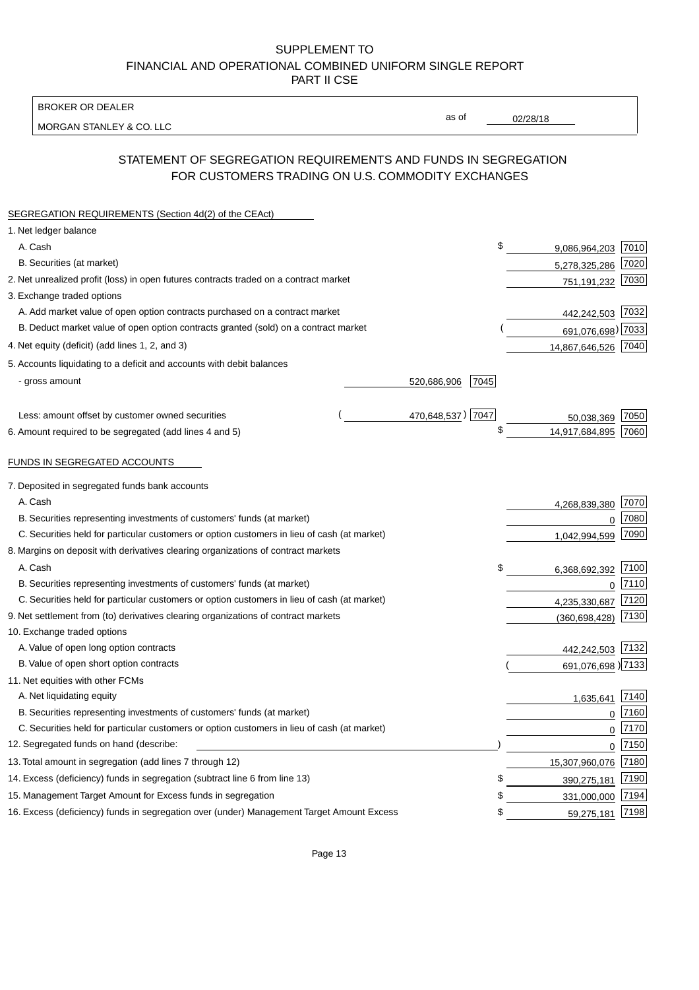BROKER OR DEALER

MORGAN STANLEY & CO. LLC

02/28/18

as of

# STATEMENT OF SEGREGATION REQUIREMENTS AND FUNDS IN SEGREGATION FOR CUSTOMERS TRADING ON U.S. COMMODITY EXCHANGES

| SEGREGATION REQUIREMENTS (Section 4d(2) of the CEAct)                                       |                   |      |                     |      |
|---------------------------------------------------------------------------------------------|-------------------|------|---------------------|------|
| 1. Net ledger balance                                                                       |                   |      |                     |      |
| A. Cash                                                                                     |                   | \$   | 9,086,964,203       | 7010 |
| B. Securities (at market)                                                                   |                   |      | 5,278,325,286       | 7020 |
| 2. Net unrealized profit (loss) in open futures contracts traded on a contract market       |                   |      | 751,191,232         | 7030 |
| 3. Exchange traded options                                                                  |                   |      |                     |      |
| A. Add market value of open option contracts purchased on a contract market                 |                   |      | 442,242,503 7032    |      |
| B. Deduct market value of open option contracts granted (sold) on a contract market         |                   |      | 691,076,698) 7033   |      |
| 4. Net equity (deficit) (add lines 1, 2, and 3)                                             |                   |      | 14,867,646,526 7040 |      |
| 5. Accounts liquidating to a deficit and accounts with debit balances                       |                   |      |                     |      |
| - gross amount                                                                              | 520,686,906       | 7045 |                     |      |
|                                                                                             |                   |      |                     |      |
| Less: amount offset by customer owned securities                                            | 470,648,537) 7047 |      | 50,038,369          | 7050 |
| 6. Amount required to be segregated (add lines 4 and 5)                                     |                   | \$   | 14,917,684,895      | 7060 |
|                                                                                             |                   |      |                     |      |
| FUNDS IN SEGREGATED ACCOUNTS                                                                |                   |      |                     |      |
| 7. Deposited in segregated funds bank accounts                                              |                   |      |                     |      |
| A. Cash                                                                                     |                   |      | 4,268,839,380       | 7070 |
| B. Securities representing investments of customers' funds (at market)                      |                   |      | $\Omega$            | 7080 |
| C. Securities held for particular customers or option customers in lieu of cash (at market) |                   |      | 1,042,994,599       | 7090 |
| 8. Margins on deposit with derivatives clearing organizations of contract markets           |                   |      |                     |      |
| A. Cash                                                                                     |                   | \$   | 6,368,692,392       | 7100 |
| B. Securities representing investments of customers' funds (at market)                      |                   |      | $\overline{0}$      | 7110 |
| C. Securities held for particular customers or option customers in lieu of cash (at market) |                   |      | 4,235,330,687       | 7120 |
| 9. Net settlement from (to) derivatives clearing organizations of contract markets          |                   |      | (360, 698, 428)     | 7130 |
| 10. Exchange traded options                                                                 |                   |      |                     |      |
| A. Value of open long option contracts                                                      |                   |      | 442,242,503         | 7132 |
| B. Value of open short option contracts                                                     |                   |      | 691,076,698 )7133   |      |
| 11. Net equities with other FCMs                                                            |                   |      |                     |      |
| A. Net liquidating equity                                                                   |                   |      | 1,635,641           | 7140 |
| B. Securities representing investments of customers' funds (at market)                      |                   |      | $\mathbf 0$         | 7160 |
| C. Securities held for particular customers or option customers in lieu of cash (at market) |                   |      | 0                   | 7170 |
| 12. Segregated funds on hand (describe:                                                     |                   |      | 0                   | 7150 |
| 13. Total amount in segregation (add lines 7 through 12)                                    |                   |      | 15,307,960,076      | 7180 |
| 14. Excess (deficiency) funds in segregation (subtract line 6 from line 13)                 |                   | S    | 390,275,181         | 7190 |
| 15. Management Target Amount for Excess funds in segregation                                |                   | \$   | 331,000,000         | 7194 |
| 16. Excess (deficiency) funds in segregation over (under) Management Target Amount Excess   |                   | \$   | 59,275,181          | 7198 |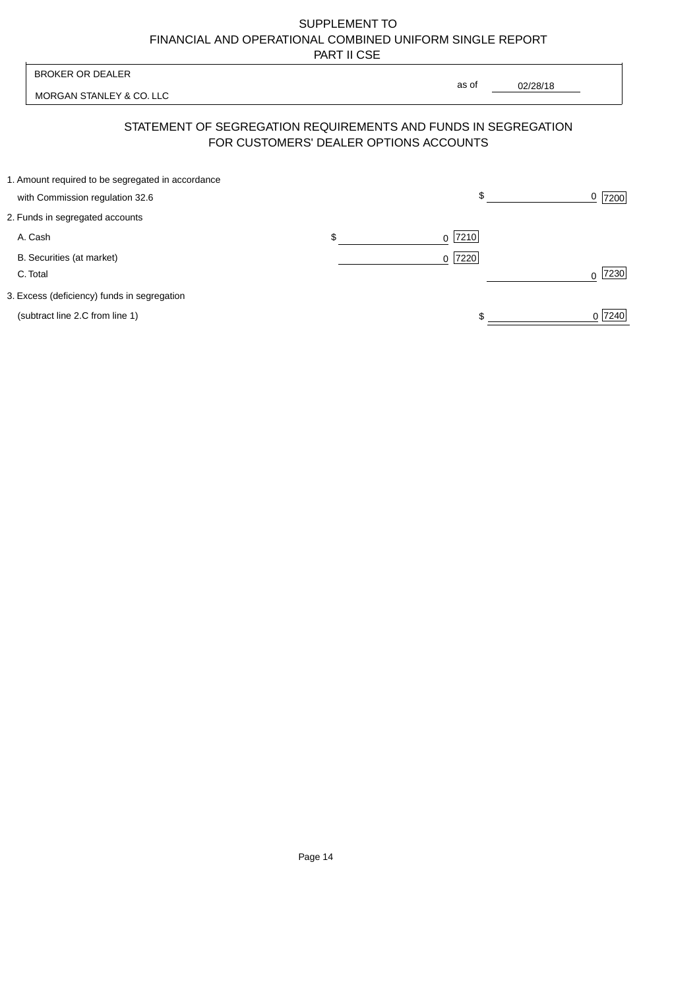| <b>BROKER OR DEALER</b><br>MORGAN STANLEY & CO. LLC                                  |    | as of                                  |                  |
|--------------------------------------------------------------------------------------|----|----------------------------------------|------------------|
|                                                                                      |    | 02/28/18                               |                  |
| STATEMENT OF SEGREGATION REQUIREMENTS AND FUNDS IN SEGREGATION                       |    | FOR CUSTOMERS' DEALER OPTIONS ACCOUNTS |                  |
| 1. Amount required to be segregated in accordance<br>with Commission regulation 32.6 |    | \$                                     | 0<br>7200        |
| 2. Funds in segregated accounts                                                      |    |                                        |                  |
| A. Cash                                                                              | \$ | 7210<br><sup>0</sup>                   |                  |
| B. Securities (at market)<br>C. Total                                                |    | 0 7220                                 | 7230<br>$\Omega$ |
| 3. Excess (deficiency) funds in segregation                                          |    |                                        |                  |
| (subtract line 2.C from line 1)                                                      |    |                                        | 0 7240           |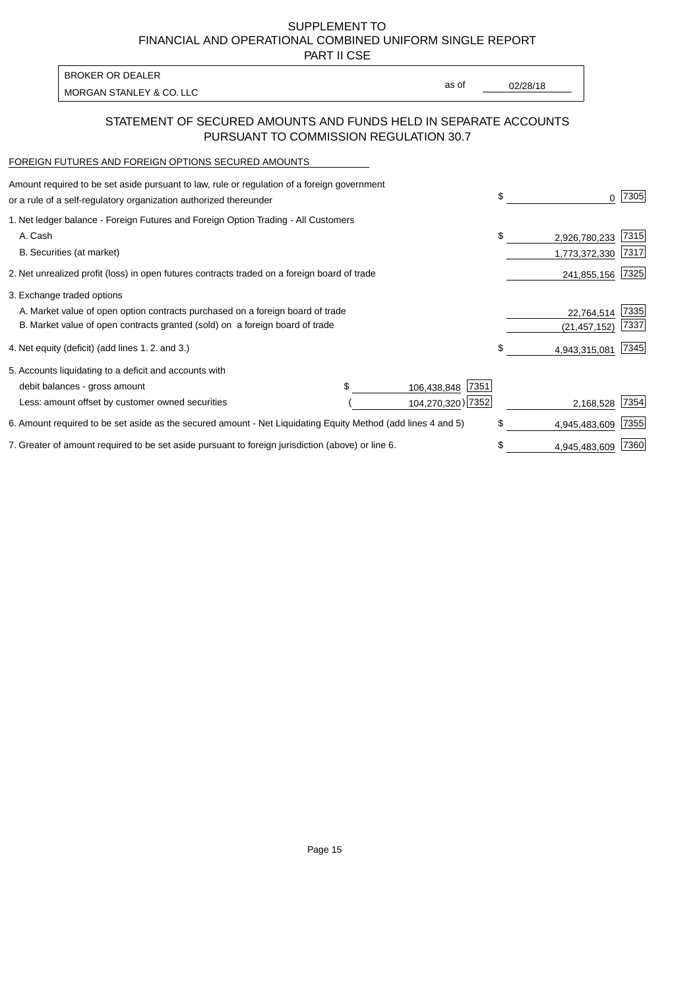PART II CSE

MORGAN STANLEY & CO. LLC and the contract of the contract of the contract of the contract of the contract of the contract of the contract of the contract of the contract of the contract of the contract of the contract of t BROKER OR DEALER

as of

## STATEMENT OF SECURED AMOUNTS AND FUNDS HELD IN SEPARATE ACCOUNTS PURSUANT TO COMMISSION REGULATION 30.7

# FOREIGN FUTURES AND FOREIGN OPTIONS SECURED AMOUNTS

| \$                | 0              | 7305 |
|-------------------|----------------|------|
|                   |                |      |
| \$                | 2,926,780,233  | 7315 |
|                   | 1,773,372,330  | 7317 |
|                   | 241,855,156    | 7325 |
|                   |                |      |
|                   | 22,764,514     | 7335 |
|                   | (21, 457, 152) | 7337 |
| \$                | 4,943,315,081  | 7345 |
|                   |                |      |
|                   |                |      |
|                   | 2,168,528      | 7354 |
| \$                | 4,945,483,609  | 7355 |
| \$                | 4,945,483,609  | 7360 |
| 104,270,320) 7352 |                |      |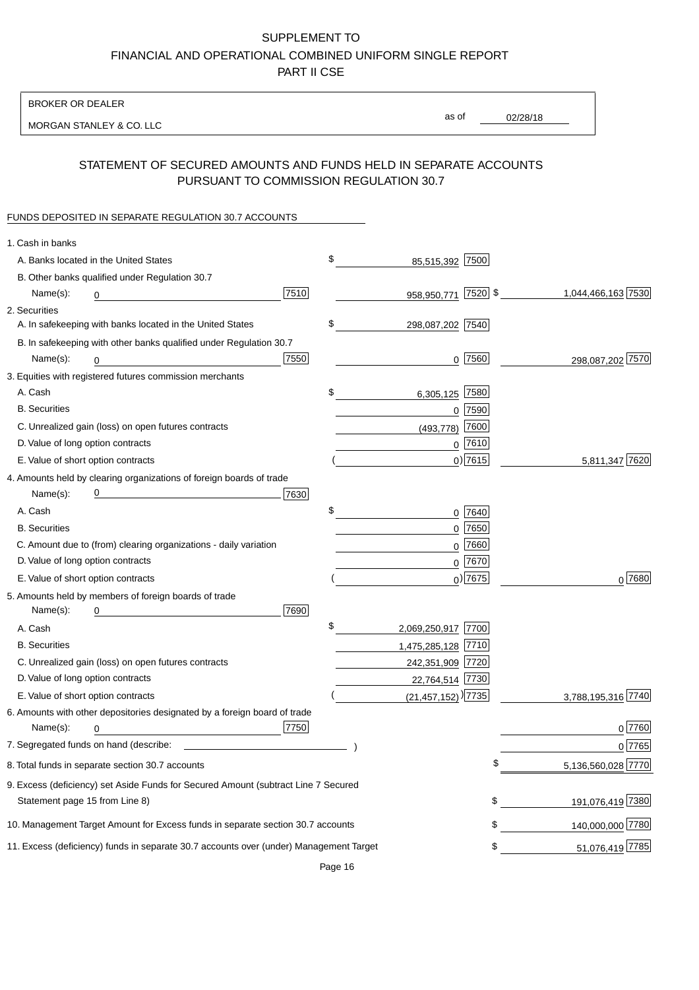BROKER OR DEALER

MORGAN STANLEY & CO. LLC

02/28/18 as of

### STATEMENT OF SECURED AMOUNTS AND FUNDS HELD IN SEPARATE ACCOUNTS PURSUANT TO COMMISSION REGULATION 30.7

#### FUNDS DEPOSITED IN SEPARATE REGULATION 30.7 ACCOUNTS

| 1. Cash in banks                   |                                                                                        |      |                                    |             |                    |
|------------------------------------|----------------------------------------------------------------------------------------|------|------------------------------------|-------------|--------------------|
|                                    | A. Banks located in the United States                                                  |      | \$<br>85,515,392                   | 7500        |                    |
|                                    | B. Other banks qualified under Regulation 30.7                                         |      |                                    |             |                    |
| Name(s):                           | 0                                                                                      | 7510 | 958,950,771                        | $ 7520 $ \$ | 1,044,466,163 7530 |
| 2. Securities                      |                                                                                        |      |                                    |             |                    |
|                                    | A. In safekeeping with banks located in the United States                              |      | \$<br>298,087,202 7540             |             |                    |
|                                    | B. In safekeeping with other banks qualified under Regulation 30.7                     |      |                                    |             |                    |
| Name(s):                           | 0                                                                                      | 7550 |                                    | $0$ 7560    | 298,087,202 7570   |
|                                    | 3. Equities with registered futures commission merchants                               |      |                                    |             |                    |
| A. Cash                            |                                                                                        |      | \$<br>6,305,125                    | 7580        |                    |
| <b>B.</b> Securities               |                                                                                        |      |                                    | $0$ 7590    |                    |
|                                    | C. Unrealized gain (loss) on open futures contracts                                    |      | (493, 778)                         | 7600        |                    |
| D. Value of long option contracts  |                                                                                        |      |                                    | $0$ 7610    |                    |
| E. Value of short option contracts |                                                                                        |      |                                    | $0)$ 7615   | 5,811,347 7620     |
|                                    | 4. Amounts held by clearing organizations of foreign boards of trade                   |      |                                    |             |                    |
| Name(s):                           |                                                                                        | 7630 |                                    |             |                    |
| A. Cash                            |                                                                                        |      | \$                                 | 0 7640      |                    |
| <b>B.</b> Securities               |                                                                                        |      |                                    | $0$ 7650    |                    |
|                                    | C. Amount due to (from) clearing organizations - daily variation                       |      | 0                                  | 7660        |                    |
| D. Value of long option contracts  |                                                                                        |      |                                    | 0 7670      |                    |
| E. Value of short option contracts |                                                                                        |      |                                    | $_0$ ) 7675 | 0 7680             |
|                                    | 5. Amounts held by members of foreign boards of trade                                  |      |                                    |             |                    |
| Name(s):                           | 0                                                                                      | 7690 |                                    |             |                    |
| A. Cash                            |                                                                                        |      | \$<br>2,069,250,917 7700           |             |                    |
| <b>B.</b> Securities               |                                                                                        |      | 1,475,285,128 7710                 |             |                    |
|                                    | C. Unrealized gain (loss) on open futures contracts                                    |      | 242,351,909 7720                   |             |                    |
| D. Value of long option contracts  |                                                                                        |      | 22,764,514 7730                    |             |                    |
| E. Value of short option contracts |                                                                                        |      | $(21,457,152)$ <sup>)</sup> [7735] |             | 3,788,195,316 7740 |
|                                    | 6. Amounts with other depositories designated by a foreign board of trade              |      |                                    |             |                    |
| Name(s):                           | 0                                                                                      | 7750 |                                    |             | 0 7760             |
|                                    |                                                                                        |      |                                    |             | 0 7765             |
|                                    | 8. Total funds in separate section 30.7 accounts                                       |      |                                    |             | 5,136,560,028 7770 |
|                                    | 9. Excess (deficiency) set Aside Funds for Secured Amount (subtract Line 7 Secured     |      |                                    |             |                    |
| Statement page 15 from Line 8)     |                                                                                        |      |                                    | \$          | 191,076,419 7380   |
|                                    | 10. Management Target Amount for Excess funds in separate section 30.7 accounts        |      |                                    | \$          | 140,000,000 7780   |
|                                    | 11. Excess (deficiency) funds in separate 30.7 accounts over (under) Management Target |      |                                    | \$          | 51,076,419 7785    |
|                                    |                                                                                        |      |                                    |             |                    |